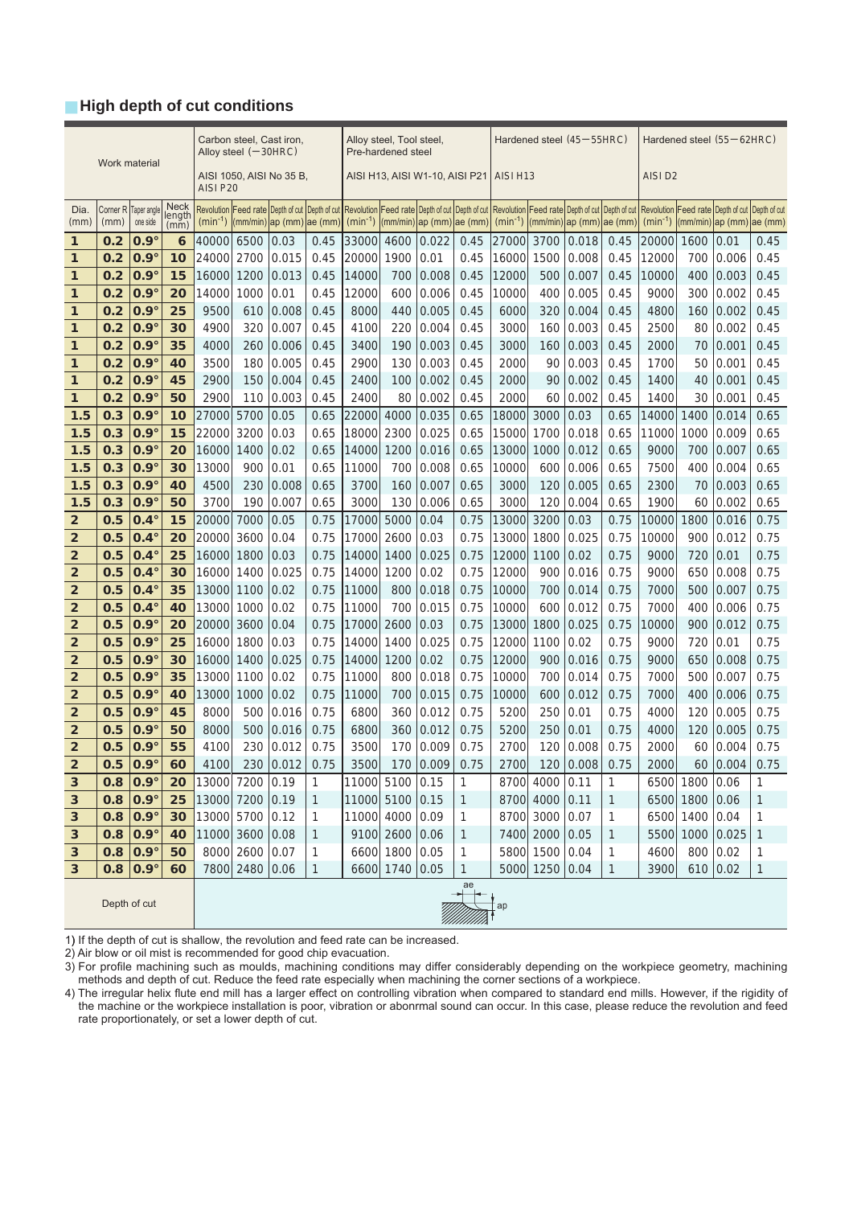## **■ High depth of cut conditions**

|                         |               |                                  |                                       | Carbon steel, Cast iron,<br>Alloy steel $(-30HRC)$ |                |                                                                                                                                                                                                                                                                                                                     |              | Alloy steel, Tool steel,<br>Pre-hardened steel |                  |                                                          |              | Hardened steel $(45-55HRC)$ |                |                |                                        | Hardened steel (55 – 62HRC) |                |                          |              |
|-------------------------|---------------|----------------------------------|---------------------------------------|----------------------------------------------------|----------------|---------------------------------------------------------------------------------------------------------------------------------------------------------------------------------------------------------------------------------------------------------------------------------------------------------------------|--------------|------------------------------------------------|------------------|----------------------------------------------------------|--------------|-----------------------------|----------------|----------------|----------------------------------------|-----------------------------|----------------|--------------------------|--------------|
|                         | Work material |                                  |                                       | AISI 1050, AISI No 35 B,<br>AISI P20               |                |                                                                                                                                                                                                                                                                                                                     |              | AISI H13, AISI W1-10, AISI P21                 |                  |                                                          |              | AISI <sub>H13</sub>         |                |                |                                        | AISI D <sub>2</sub>         |                |                          |              |
| Dia.<br>(mm)            | (mm)          | Corner R Taper angle<br>one side | <b>Neck</b><br>length<br>$(m\bar{m})$ | $(min^{-1})$                                       |                | Revolution  Feed rate Depth of cut Depth of cut Revolution  Feed rate Depth of cut Depth of cut Revolution Feed rate Depth of cut Depth of cut New Olution Feed rate Depth of cut Depth of cut<br>$\left \frac{m}{m}\right $ ap $\left \frac{m}{m}\right $ ae $\left \frac{m}{m}\right $ $\left \frac{m}{m}\right $ |              |                                                |                  | $\vert$ (mm/min) $\vert$ ap (mm) $\vert$ ae (mm) $\vert$ |              | $(min^{-1})$                |                |                | $ $ (mm/min) $ ap$ (mm) $ ae$ (mm) $ $ | $(min^{-1})$                |                | (mm/min) ap (mm) ae (mm) |              |
| $\mathbf{1}$            | 0.2           | $0.9^\circ$                      | 6                                     | 40000                                              | 6500           | 0.03                                                                                                                                                                                                                                                                                                                | 0.45         | 33000                                          | 4600             | 0.022                                                    | 0.45         | 27000                       | 3700           | 0.018          | 0.45                                   | 20000                       | 1600           | 0.01                     | 0.45         |
| 1                       | 0.2           | $0.9^\circ$                      | 10                                    | 24000                                              | 2700           | 0.015                                                                                                                                                                                                                                                                                                               | 0.45         | 20000                                          | 1900             | 0.01                                                     | 0.45         | 16000                       | 1500           | 0.008          | 0.45                                   | 12000                       | 700            | 0.006                    | 0.45         |
| 1                       | 0.2           | $0.9^\circ$                      | 15                                    | 16000                                              | 1200           | 0.013                                                                                                                                                                                                                                                                                                               | 0.45         | 14000                                          | 700              | 0.008                                                    | 0.45         | 12000                       | 500            | 0.007          | 0.45                                   | 10000                       | 400            | 0.003                    | 0.45         |
| 1                       | 0.2           | $0.9^\circ$                      | 20                                    | 14000                                              | 1000           | 0.01                                                                                                                                                                                                                                                                                                                | 0.45         | 12000                                          | 600              | 0.006                                                    | 0.45         | 10000                       | 400            | 0.005          | 0.45                                   | 9000                        | 300            | 0.002                    | 0.45         |
| 1                       | 0.2           | $0.9^\circ$                      | 25                                    | 9500                                               | 610            | 0.008                                                                                                                                                                                                                                                                                                               | 0.45         | 8000                                           | 440              | 0.005                                                    | 0.45         | 6000                        | 320            | 0.004          | 0.45                                   | 4800                        | 160            | 0.002                    | 0.45         |
| 1                       | 0.2           | $0.9^\circ$                      | 30                                    | 4900                                               | 320            | 0.007                                                                                                                                                                                                                                                                                                               | 0.45         | 4100                                           | 220              | 0.004                                                    | 0.45         | 3000                        | 160            | 0.003          | 0.45                                   | 2500                        | 80             | 0.002                    | 0.45         |
| $\mathbf{1}$            | 0.2           | $0.9^\circ$                      | 35                                    | 4000                                               | 260            | 0.006                                                                                                                                                                                                                                                                                                               | 0.45         | 3400                                           | 190              | 0.003                                                    | 0.45         | 3000                        | 160            | 0.003          | 0.45                                   | 2000                        | 70             | 0.001                    | 0.45         |
| 1                       | 0.2           | $0.9^\circ$                      | 40                                    | 3500                                               | 180            | 0.005                                                                                                                                                                                                                                                                                                               | 0.45         | 2900                                           | 130              | 0.003                                                    | 0.45         | 2000                        | 90             | 0.003          | 0.45                                   | 1700                        | 50             | 0.001                    | 0.45         |
| 1                       | 0.2           | $0.9^\circ$                      | 45                                    | 2900                                               | 150            | 0.004                                                                                                                                                                                                                                                                                                               | 0.45         | 2400                                           | 100              | 0.002                                                    | 0.45         | 2000                        | 90             | 0.002          | 0.45                                   | 1400                        | 40             | 0.001                    | 0.45         |
| $\mathbf{1}$            | 0.2           | $0.9^\circ$                      | 50                                    | 2900                                               | 110            | 0.003                                                                                                                                                                                                                                                                                                               | 0.45         | 2400                                           | 80               | 0.002                                                    | 0.45         | 2000                        | 60             | 0.002          | 0.45                                   | 1400                        | 30             | 0.001                    | 0.45         |
| 1.5                     | 0.3           | $0.9^\circ$                      | 10                                    | 27000                                              | 5700           | 0.05                                                                                                                                                                                                                                                                                                                | 0.65         | 22000                                          | 4000             | 0.035                                                    | 0.65         | 18000                       | 3000           | 0.03           | 0.65                                   | 14000                       | 1400           | 0.014                    | 0.65         |
| 1.5                     | 0.3           | $0.9^\circ$                      | 15                                    | 22000                                              | 3200           | 0.03                                                                                                                                                                                                                                                                                                                | 0.65         | 18000                                          | 2300             | 0.025                                                    | 0.65         | 15000                       | 1700           | 0.018          | 0.65                                   | 11000                       | 1000           | 0.009                    | 0.65         |
| 1.5                     | 0.3           | $0.9^\circ$                      | 20                                    | 16000                                              | 1400           | 0.02                                                                                                                                                                                                                                                                                                                | 0.65         | 14000                                          | 1200             | 0.016                                                    | 0.65         | 13000                       | 1000           | 0.012          | 0.65                                   | 9000                        | 700            | 0.007                    | 0.65         |
| 1.5                     | 0.3           | $0.9^\circ$                      | 30                                    | 13000                                              | 900            | 0.01                                                                                                                                                                                                                                                                                                                | 0.65         | 11000                                          | 700              | 0.008                                                    | 0.65         | 10000                       | 600            | 0.006          | 0.65                                   | 7500                        | 400            | 0.004                    | 0.65         |
| 1.5                     | 0.3           | $0.9^\circ$                      | 40                                    | 4500                                               | 230            | 0.008                                                                                                                                                                                                                                                                                                               | 0.65         | 3700                                           | 160              | 0.007                                                    | 0.65         | 3000                        | 120            | 0.005          | 0.65                                   | 2300                        | 70             | 0.003                    | 0.65         |
| 1.5                     | 0.3           | $0.9^\circ$                      | 50                                    | 3700                                               | 190            | 0.007                                                                                                                                                                                                                                                                                                               | 0.65         | 3000                                           | 130              | 0.006                                                    | 0.65         | 3000                        | 120            | 0.004          | 0.65                                   | 1900                        | 60             | 0.002                    | 0.65         |
| $\overline{2}$          | 0.5           | $0.4^\circ$                      | 15                                    | 20000                                              | 7000           | 0.05                                                                                                                                                                                                                                                                                                                | 0.75         | 17000                                          | 5000             | 0.04                                                     | 0.75         | 13000                       | 3200           | 0.03           | 0.75                                   | 10000                       | 1800           | 0.016                    | 0.75         |
| $\overline{\mathbf{2}}$ | 0.5           | $0.4^\circ$                      | 20                                    | 20000                                              | 3600           | 0.04                                                                                                                                                                                                                                                                                                                | 0.75         | 17000                                          | 2600             | 0.03                                                     | 0.75         | 13000                       | 1800           | 0.025          | 0.75                                   | 10000                       | 900            | 0.012                    | 0.75         |
| $\overline{2}$          | 0.5           | $0.4^\circ$                      | 25                                    | 16000                                              | 1800           | 0.03                                                                                                                                                                                                                                                                                                                | 0.75         | 14000                                          | 1400             | 0.025                                                    | 0.75         | 12000                       | 1100           | 0.02           | 0.75                                   | 9000                        | 720            | 0.01                     | 0.75         |
| $\overline{2}$          | 0.5           | $0.4^\circ$                      | 30                                    | 16000                                              | 1400           | 0.025                                                                                                                                                                                                                                                                                                               | 0.75         | 14000                                          | 1200             | 0.02                                                     | 0.75         | 12000                       | 900            | 0.016          | 0.75                                   | 9000                        | 650            | 0.008                    | 0.75         |
| $\overline{2}$          | 0.5           | $0.4^\circ$                      | 35                                    | 13000                                              | 1100           | 0.02                                                                                                                                                                                                                                                                                                                | 0.75         | 11000                                          | 800              | 0.018                                                    | 0.75         | 10000                       | 700            | 0.014          | 0.75                                   | 7000                        | 500            | 0.007                    | 0.75         |
| $\overline{2}$          | 0.5           | $0.4^\circ$                      | 40                                    | 13000                                              | 1000           | 0.02                                                                                                                                                                                                                                                                                                                | 0.75         | 11000                                          | 700              | 0.015                                                    | 0.75         | 10000                       | 600            | 0.012          | 0.75                                   | 7000                        | 400            | 0.006                    | 0.75         |
| $\overline{2}$          | 0.5           | $0.9^\circ$                      | 20                                    | 20000                                              | 3600           | 0.04                                                                                                                                                                                                                                                                                                                | 0.75         | 17000                                          | 2600             | 0.03                                                     | 0.75         | 13000                       | 1800           | 0.025          | 0.75                                   | 10000                       | 900            | 0.012                    | 0.75         |
| $\overline{2}$          | 0.5           | $0.9^\circ$                      | 25                                    | 16000                                              | 1800           | 0.03                                                                                                                                                                                                                                                                                                                | 0.75         | 14000                                          | 1400             | 0.025                                                    | 0.75         | 12000                       | 1100           | 0.02           | 0.75                                   | 9000                        | 720            | 0.01                     | 0.75         |
| $\overline{2}$          | 0.5           | $0.9^\circ$                      | 30                                    | 16000                                              | 1400           | 0.025                                                                                                                                                                                                                                                                                                               | 0.75         | 14000                                          | 1200             | 0.02                                                     | 0.75         | 12000                       | 900            | 0.016          | 0.75                                   | 9000                        | 650            | 0.008                    | 0.75         |
| $\overline{2}$          | 0.5           | $0.9^\circ$                      | 35                                    | 13000                                              | 1100           | 0.02                                                                                                                                                                                                                                                                                                                | 0.75         | 11000                                          | 800              | 0.018                                                    | 0.75         | 10000                       | 700            | 0.014          | 0.75                                   | 7000                        | 500            | 0.007                    | 0.75         |
| $\overline{2}$          | 0.5           | $0.9^\circ$                      | 40                                    | 13000                                              | 1000           | 0.02                                                                                                                                                                                                                                                                                                                | 0.75         | 11000                                          | 700              | 0.015                                                    | 0.75         | 10000                       | 600            | 0.012          | 0.75                                   | 7000                        | 400            | 0.006                    | 0.75         |
| $\mathbf{2}$            | 0.5           | $0.9^\circ$                      | 45                                    | 8000                                               | 500            | 0.016                                                                                                                                                                                                                                                                                                               | 0.75         | 6800                                           | 360              | 0.012                                                    | 0.75         | 5200                        | 250            | 0.01           | 0.75                                   | 4000                        | 120            | 0.005                    | 0.75         |
| $\mathbf{2}$            | 0.5           | $0.9^\circ$                      | 50                                    | 8000                                               | 500            | 0.016                                                                                                                                                                                                                                                                                                               | 0.75         | 6800                                           | 360              | 0.012                                                    | 0.75         | 5200                        | 250            | 0.01           | 0.75                                   | 4000                        | 120            | 0.005                    | 0.75         |
| $\overline{2}$          | 0.5           | $0.9^\circ$                      | 55                                    | 4100                                               | 230            | 0.012                                                                                                                                                                                                                                                                                                               | 0.75         | 3500                                           | 170              | 0.009                                                    | 0.75         | 2700                        | 120            | 0.008          | 0.75                                   | 2000                        | 60             | 0.004                    | 0.75         |
| $\overline{\mathbf{2}}$ | 0.5           | $0.9^\circ$                      | 60                                    |                                                    |                | 4100 230 0.012                                                                                                                                                                                                                                                                                                      | 0.75         |                                                |                  | 3500 170 0.009                                           | 0.75         |                             |                | 2700 120 0.008 | 0.75                                   |                             |                | 2000 60 0.004            | 0.75         |
| 3                       | 0.8           | $0.9^\circ$                      | 20                                    | 13000 7200 0.19                                    |                |                                                                                                                                                                                                                                                                                                                     | 1            | 11000 5100 0.15                                |                  |                                                          | 1            |                             | 8700 4000 0.11 |                | 1                                      |                             | 6500 1800 0.06 |                          | 1            |
| 3                       | 0.8           | $0.9^\circ$                      | 25                                    | 13000 7200 0.19                                    |                |                                                                                                                                                                                                                                                                                                                     | $\mathbf{1}$ | 11000 5100 0.15                                |                  |                                                          | 1            |                             | 8700 4000 0.11 |                | $\mathbf{1}$                           |                             | 6500 1800 0.06 |                          | 1            |
| 3                       | 0.8           | $0.9^\circ$                      | 30                                    | 13000 5700 0.12                                    |                |                                                                                                                                                                                                                                                                                                                     | $\mathbf{1}$ | 11000 4000 0.09                                |                  |                                                          | 1            |                             | 8700 3000 0.07 |                | 1                                      |                             | 6500 1400 0.04 |                          | 1            |
| 3                       | 0.8           | $0.9^\circ$                      | 40                                    | 11000 3600 0.08                                    |                |                                                                                                                                                                                                                                                                                                                     | $\mathbf{1}$ |                                                | $9100$ 2600 0.06 |                                                          | 1            |                             | 7400 2000 0.05 |                | $\mathbf{1}$                           |                             |                | 5500 1000 0.025          | $\mathbf{1}$ |
| 3                       | 0.8           | $0.9^\circ$                      | 50                                    |                                                    | 8000 2600 0.07 |                                                                                                                                                                                                                                                                                                                     | $\mathbf{1}$ |                                                | 6600 1800 0.05   |                                                          | 1            |                             | 5800 1500 0.04 |                | $\mathbf{1}$                           | 4600                        |                | 800 0.02                 | 1            |
| 3                       |               | $0.8 0.9^\circ$                  | 60                                    |                                                    | 7800 2480 0.06 |                                                                                                                                                                                                                                                                                                                     | $\mathbf{1}$ |                                                | 6600 1740 0.05   |                                                          | $\mathbf{1}$ |                             | 5000 1250 0.04 |                | $\mathbf{1}$                           | 3900                        |                | 610 0.02                 | $\mathbf{1}$ |
|                         |               |                                  |                                       |                                                    |                |                                                                                                                                                                                                                                                                                                                     |              |                                                |                  |                                                          | ae           |                             |                |                |                                        |                             |                |                          |              |

Depth of cut

ap

1) If the depth of cut is shallow, the revolution and feed rate can be increased.

2) Air blow or oil mist is recommended for good chip evacuation.

3) For profile machining such as moulds, machining conditions may differ considerably depending on the workpiece geometry, machining methods and depth of cut. Reduce the feed rate especially when machining the corner sections of a workpiece.

4) The irregular helix flute end mill has a larger effect on controlling vibration when compared to standard end mills. However, if the rigidity of the machine or the workpiece installation is poor, vibration or abonrmal sound can occur. In this case, please reduce the revolution and feed rate proportionately, or set a lower depth of cut.